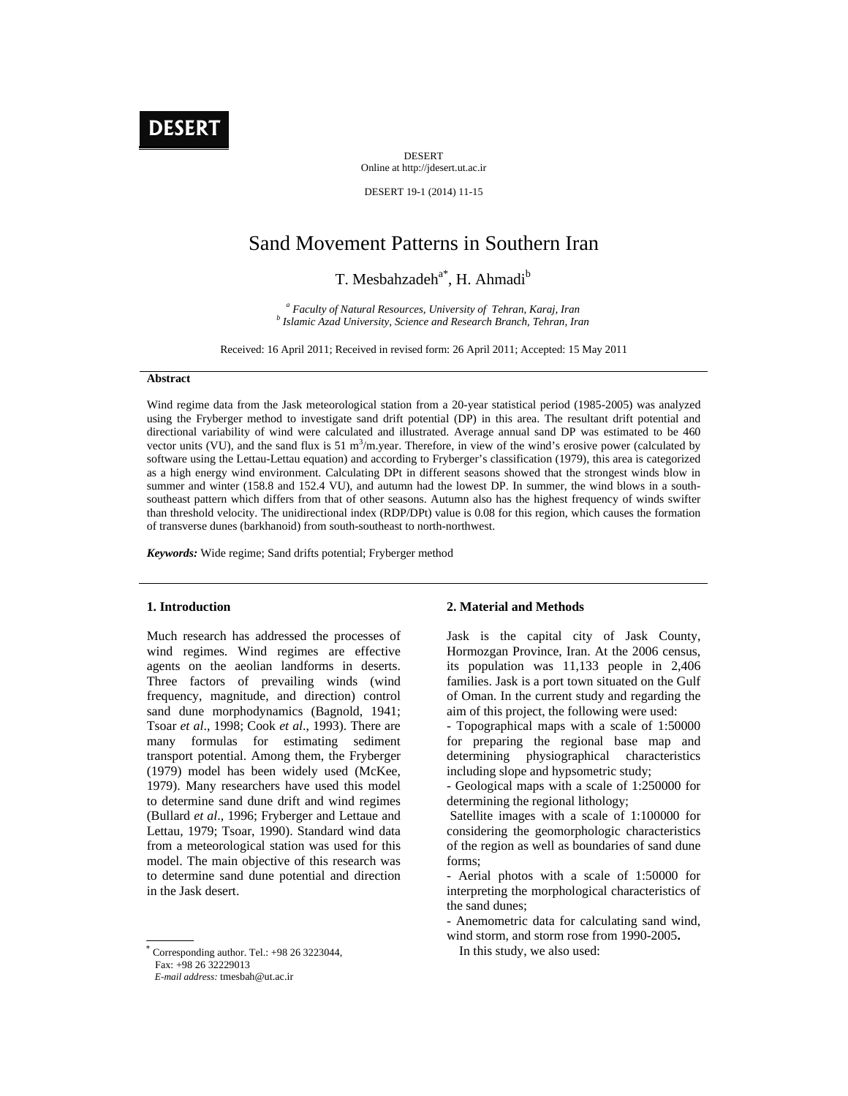

DESERT Online at http://jdesert.ut.ac.ir

DESERT 19-1 (2014) 11-15

# Sand Movement Patterns in Southern Iran

T. Mesbahzadeh<sup>a\*</sup>, H. Ahmadi<sup>b</sup>

<sup>*a*</sup> *Faculty of Natural Resources, University of Tehran, Karaj, Iran b b b latinis Areal University Science and Begassarsh Branch Tehran, Jacques Islamic Azad University, Science and Research Branch, Tehran, Iran* 

Received: 16 April 2011; Received in revised form: 26 April 2011; Accepted: 15 May 2011

### **Abstract**

Wind regime data from the Jask meteorological station from a 20-year statistical period (1985-2005) was analyzed using the Fryberger method to investigate sand drift potential (DP) in this area. The resultant drift potential and directional variability of wind were calculated and illustrated. Average annual sand DP was estimated to be 460 vector units (VU), and the sand flux is 51  $m<sup>3</sup>/m$  year. Therefore, in view of the wind's erosive power (calculated by software using the Lettau-Lettau equation) and according to Fryberger's classification (1979), this area is categorized as a high energy wind environment. Calculating DPt in different seasons showed that the strongest winds blow in summer and winter (158.8 and 152.4 VU), and autumn had the lowest DP. In summer, the wind blows in a southsoutheast pattern which differs from that of other seasons. Autumn also has the highest frequency of winds swifter than threshold velocity. The unidirectional index (RDP/DPt) value is 0.08 for this region, which causes the formation of transverse dunes (barkhanoid) from south-southeast to north-northwest.

*Keywords:* Wide regime; Sand drifts potential; Fryberger method

# **1. Introduction**

Much research has addressed the processes of wind regimes. Wind regimes are effective agents on the aeolian landforms in deserts. Three factors of prevailing winds (wind frequency, magnitude, and direction) control sand dune morphodynamics (Bagnold, 1941; Tsoar *et al*., 1998; Cook *et al*., 1993). There are many formulas for estimating sediment transport potential. Among them, the Fryberger (1979) model has been widely used (McKee, 1979). Many researchers have used this model to determine sand dune drift and wind regimes (Bullard *et al*., 1996; Fryberger and Lettaue and Lettau, 1979; Tsoar, 1990). Standard wind data from a meteorological station was used for this model. The main objective of this research was to determine sand dune potential and direction in the Jask desert.

#### **2. Material and Methods**

Jask is the capital city of Jask County, Hormozgan Province, Iran. At the 2006 census, its population was 11,133 people in 2,406 families. Jask is a port town situated on the Gulf of Oman. In the current study and regarding the aim of this project, the following were used:

- Topographical maps with a scale of 1:50000 for preparing the regional base map and determining physiographical characteristics including slope and hypsometric study;

- Geological maps with a scale of 1:250000 for determining the regional lithology;

 Satellite images with a scale of 1:100000 for considering the geomorphologic characteristics of the region as well as boundaries of sand dune forms;

- Aerial photos with a scale of 1:50000 for interpreting the morphological characteristics of the sand dunes;

- Anemometric data for calculating sand wind, wind storm, and storm rose from 1990-2005**.** 

In this study, we also used:

 $*$  Corresponding author. Tel.:  $+98$  26 3223044,

Fax: +98 26 32229013

*E-mail address:* tmesbah@ut.ac.ir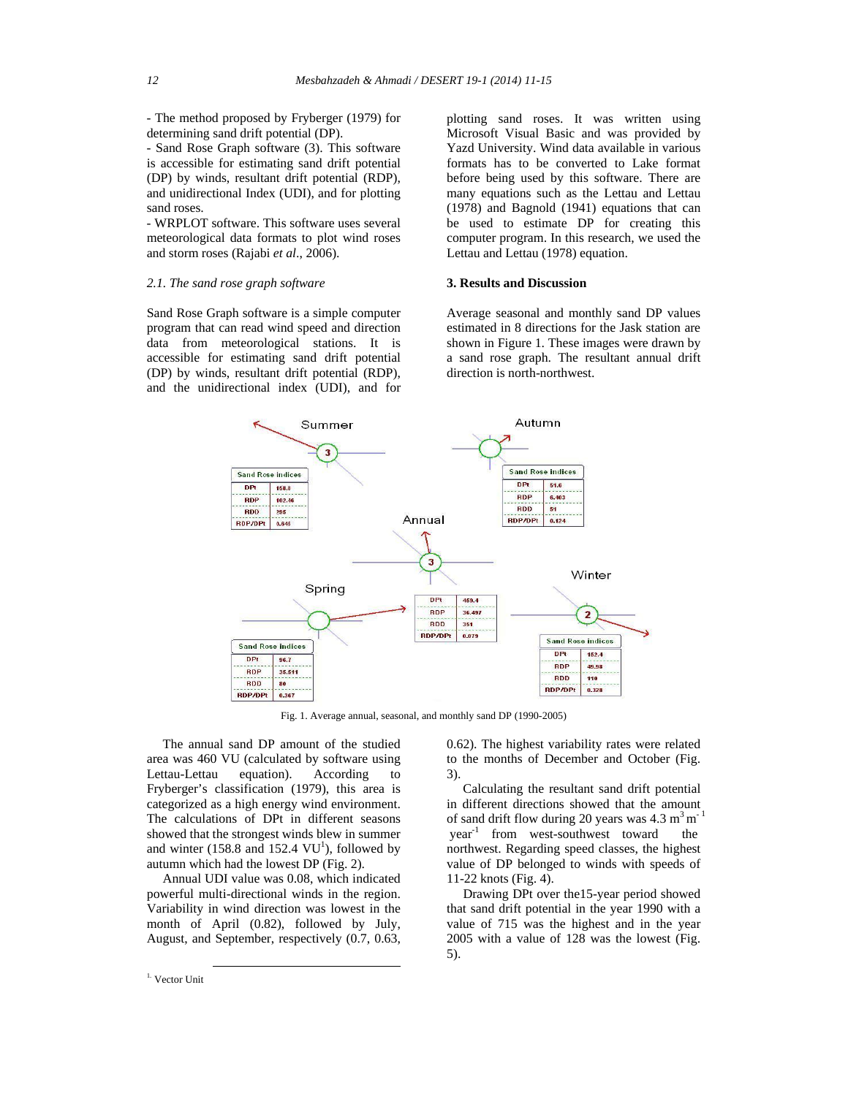- The method proposed by Fryberger (1979) for determining sand drift potential (DP).

- Sand Rose Graph software (3). This software is accessible for estimating sand drift potential (DP) by winds, resultant drift potential (RDP), and unidirectional Index (UDI), and for plotting sand roses.

- WRPLOT software. This software uses several meteorological data formats to plot wind roses and storm roses (Rajabi *et al*., 2006).

## *2.1. The sand rose graph software*

Sand Rose Graph software is a simple computer program that can read wind speed and direction data from meteorological stations. It is accessible for estimating sand drift potential (DP) by winds, resultant drift potential (RDP), and the unidirectional index (UDI), and for plotting sand roses. It was written using Microsoft Visual Basic and was provided by Yazd University. Wind data available in various formats has to be converted to Lake format before being used by this software. There are many equations such as the Lettau and Lettau (1978) and Bagnold (1941) equations that can be used to estimate DP for creating this computer program. In this research, we used the Lettau and Lettau (1978) equation.

## **3. Results and Discussion**

Average seasonal and monthly sand DP values estimated in 8 directions for the Jask station are shown in Figure 1. These images were drawn by a sand rose graph. The resultant annual drift direction is north-northwest.



Fig. 1. Average annual, seasonal, and monthly sand DP (1990-2005)

 The annual sand DP amount of the studied area was 460 VU (calculated by software using Lettau-Lettau equation). According to Fryberger's classification (1979), this area is categorized as a high energy wind environment. The calculations of DPt in different seasons showed that the strongest winds blew in summer and winter  $(158.8 \text{ and } 152.4 \text{ VU}^1)$ , followed by autumn which had the lowest DP (Fig. 2).

 Annual UDI value was 0.08, which indicated powerful multi-directional winds in the region. Variability in wind direction was lowest in the month of April (0.82), followed by July, August, and September, respectively (0.7, 0.63,

0.62). The highest variability rates were related to the months of December and October (Fig. 3).

 Calculating the resultant sand drift potential in different directions showed that the amount of sand drift flow during 20 years was  $4.3 \text{ m}^3 \text{ m}^{-1}$ year<sup>-1</sup> from west-southwest toward the northwest. Regarding speed classes, the highest value of DP belonged to winds with speeds of 11-22 knots (Fig. 4).

 Drawing DPt over the15-year period showed that sand drift potential in the year 1990 with a value of 715 was the highest and in the year 2005 with a value of 128 was the lowest (Fig. 5).

<sup>&</sup>lt;sup>1.</sup> Vector Unit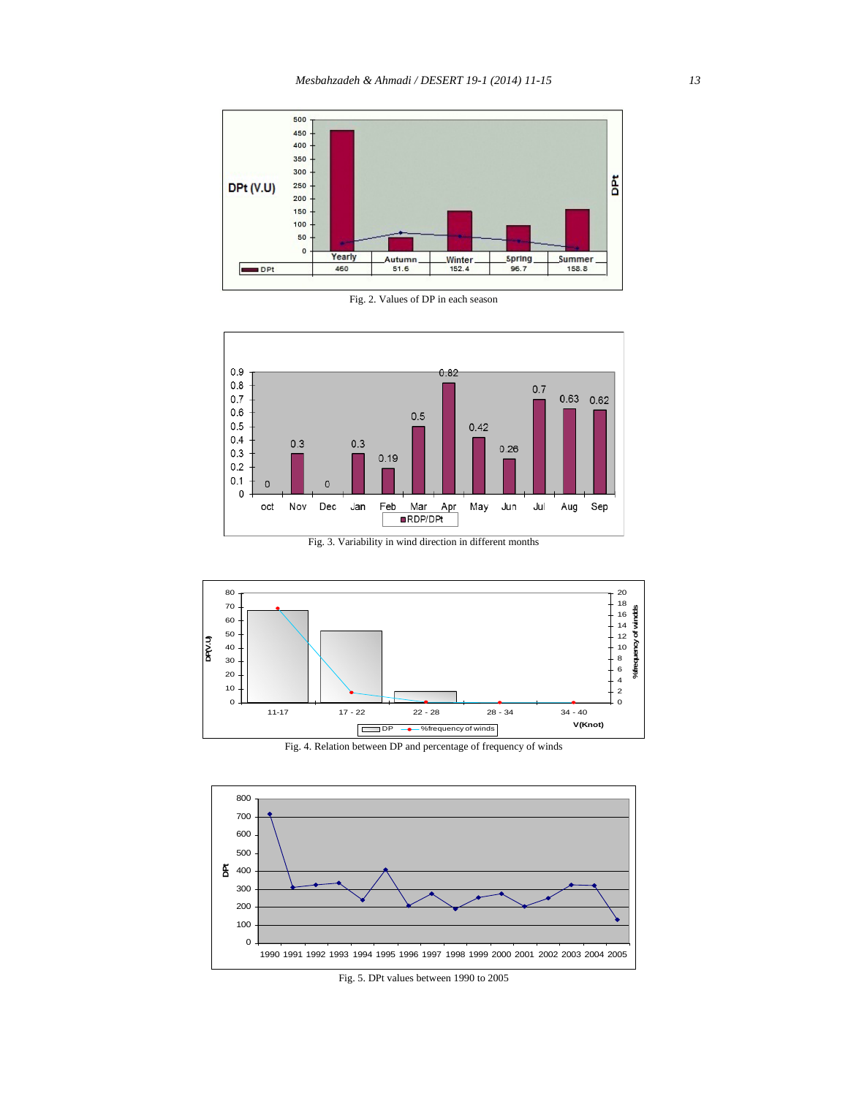

Fig. 2. Values of DP in each season



Fig. 3. Variability in wind direction in different months



Fig. 4. Relation between DP and percentage of frequency of winds



Fig. 5. DPt values between 1990 to 2005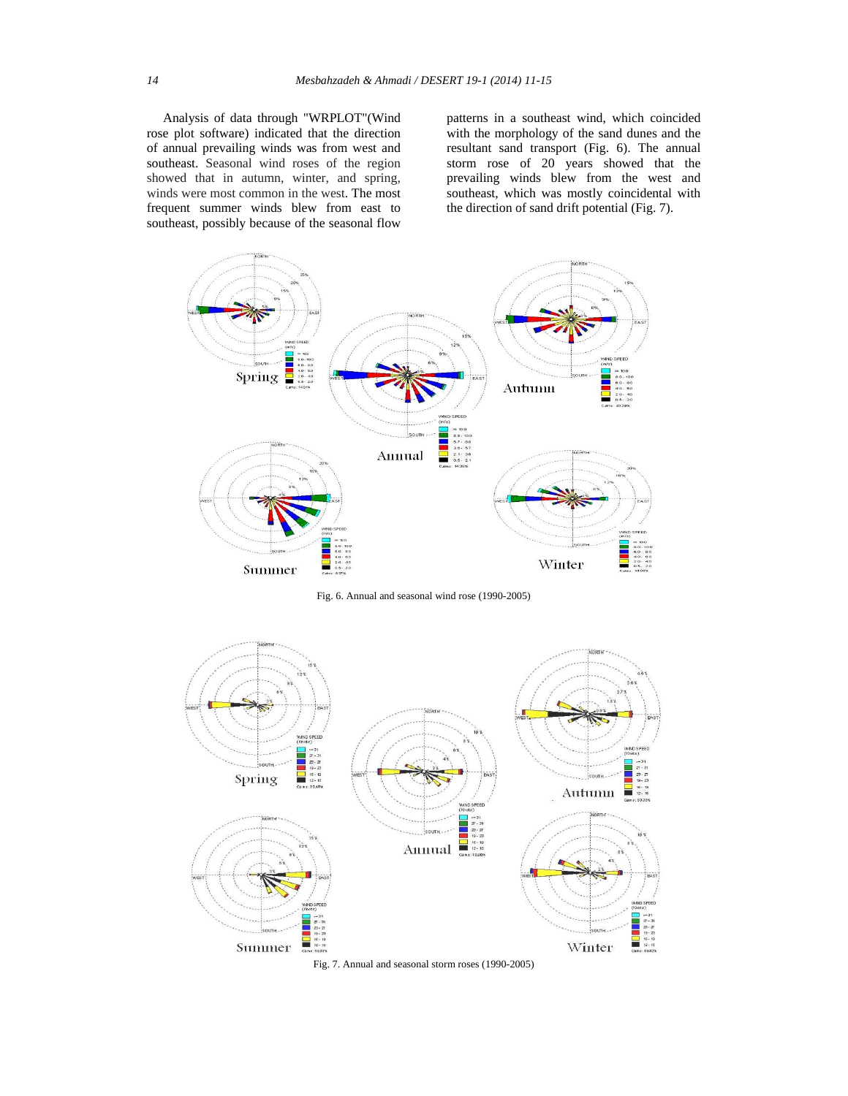Analysis of data through "WRPLOT"(Wind rose plot software) indicated that the direction of annual prevailing winds was from west and southeast. Seasonal wind roses of the region showed that in autumn, winter, and spring, winds were most common in the west. The most frequent summer winds blew from east to southeast, possibly because of the seasonal flow

patterns in a southeast wind, which coincided with the morphology of the sand dunes and the resultant sand transport (Fig. 6). The annual storm rose of 20 years showed that the prevailing winds blew from the west and southeast, which was mostly coincidental with the direction of sand drift potential (Fig. 7).



Fig. 6. Annual and seasonal wind rose (1990-2005)



Fig. 7. Annual and seasonal storm roses (1990-2005)